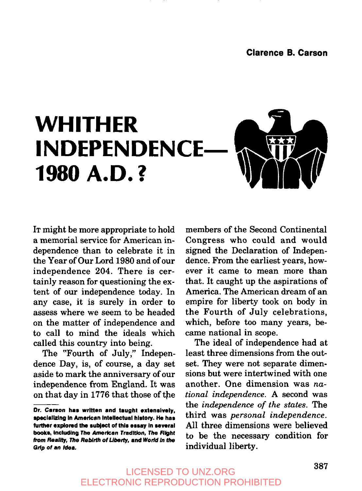

IT might be more appropriate to hold a memorial service for American independence than to celebrate it in the Year of Our Lord 1980 and of our independence 204. There is certainly reason for questioning the extent of our independence today. In any case, it is surely in order to assess where we seem to be headed on the matter of independence and to call to mind the ideals which called this country into being.

The "Fourth of July," Independence Day, is, of course, a day set aside to mark the anniversary of our independence from England. It was on that day in 1776 that those of the

members of the Second Continental Congress who could and would signed the Declaration of Independence. From the earliest years, however it came to mean more than that. It caught up the aspirations of America. The American dream of an empire for liberty took on body in the Fourth of July celebrations, which, before too many years, became national in scope.

The ideal of independence had at least three dimensions from the outset. They were not separate dimensions but were intertwined with one another. One dimension was *national independence.* A second was the *independence of the states. The* third was *personal independence.* All three dimensions were believed to be the necessary condition for individual liberty.

Dr. Carson **has written and taught extensively,** specializing in American Intellectual hlston/. He **has** further explored the subject of this essay in several books, including The American Tradition, The Right from Reality, The Rebirth of Liberty, and World in the Grip of an Idea.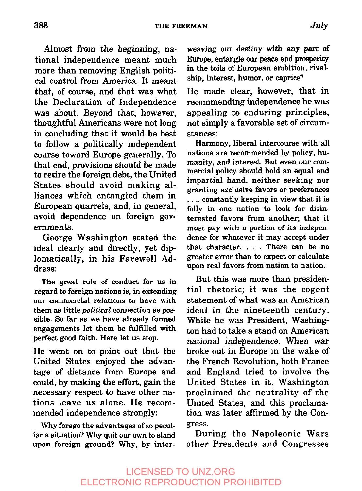Almost from the beginning, national independence meant much more than removing English political control from America. It meant that, of course, and that was what the Declaration of Independence was about. Beyond that, however, thoughtful Americans were not long in concluding that it would be best to follow a politically independent course toward Europe generally. To that end, provisions should be made to retire the foreign debt, the United States should avoid making alliances which entangled them in European quarrels, and, in general, avoid dependence on foreign governments.

George Washington stated the ideal clearly and directly, yet diplomatically, in his Farewell Address:

The great rule of conduct for us in regard to foreign nations is, in extending our commercial relations to have with them as little *political* connection as possible. So far as we have already formed engagements let them be fulfilled with perfect good faith. Here let us stop.

He went on to point out that the United States enjoyed the advantage of distance from Europe and could, by making the effort, gain the necessary respect to have other nations leave us alone. He recommended independence strongly:

Why forego the advantages of so peculiar a situation? Why quit our own to stand upon foreign ground? Why, by interweaving our destiny with any part of Europe, entangle our peace and prosperity in the toils of European ambition, rivalship, interest, humor, or caprice?

He made clear, however, that in recommending independence he was appealing to enduring principles, not simply a favorable set of circumstances:

Harmony, liberal intercourse with all nations are recommended by policy, humanity, and interest. But even our commercial policy should hold an equal and impartial hand, neither seeking nor granting exclusive favors or preferences **¯..,** constantly keeping in view that it is folly in one nation to look for disinterested favors from another; that it must pay with a portion of its independence for whatever it may accept under that character .... There can be no greater error than to expect or calculate upon real favors from nation to nation.

But this was more than presidential rhetoric; it was the cogent statement of what was an American ideal in the nineteenth century. While he was President, Washington had to take a stand on American national independence. When war broke out in Europe in the wake of the French Revolution, both France and England tried to involve the United States in it. Washington proclaimed the neutrality of the United States, and this proclamation was later affirmed by the Congress.

During the Napoleonic Wars other Presidents and Congresses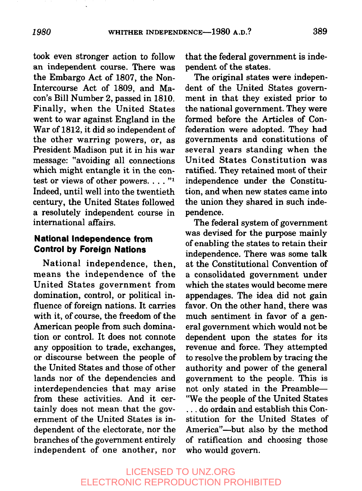took even stronger action to follow an independent course. There was the Embargo Act of 1807, the Non-Intercourse Act of 1809, and Macon's Bill Number 2, passed in 1810. Finally, when the United States went to war against England in the War of 1812, it did so independent of the other warring powers, or, as President Madison put it in his war message: "avoiding all connections which might entangle it in the contest or views of other powers.  $\dots$ ."1 Indeed, until well into the twentieth century, the United States followed a resolutely independent course in international affairs.

### **National independence trom Control by Foreign Nations**

National independence, then, means the independence of the United States government from domination, control, or political influence of foreign nations. It carries with it, of course, the freedom of the American people from such domination or control. It does not connote any opposition to trade, exchanges, or discourse between the people of the United States and those of other lands nor of the dependencies and interdependencies that may arise from these activities. And it certainly does not mean that the government of the United States is independent of the electorate, nor the branches of the government entirely independent of one another, nor

that the federal government is independent of the states.

The original states were independent of the United States government in that they existed prior to the national government. They were formed before the Articles of Confederation were adopted. They had governments and constitutions of several years standing when the United States Constitution was ratified. They retained most of their independence under the Constitution, and when new states came into the union they shared in such independence.

The federal system of government was devised for the purpose mainly of enabling the states to retain their independence. There was some talk at the Constitutional Convention of a consolidated government under which the states would become mere appendages. The idea did not gain favor. On the other hand, there was much sentiment in favor of a general government which would not be dependent upon the states for its revenue and force. They attempted to resolve the problem by tracing the authority and power of the general government to the people. This is not only stated in the Preamble-"We the people of the United States ... do ordain and establish this Con-

stitution for the United States of America"--but also by the method of ratification and choosing those who would govern.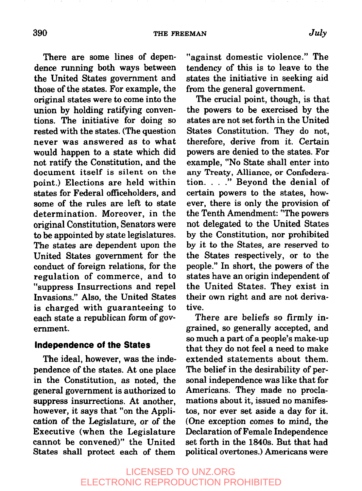There are some lines of dependence running both ways between the United States government and those of the states. For example, the original states were to come into the union by holding ratifying conventions. The initiative for doing so rested with the states. (The question never was answered as to what would happen to a state which did not ratify the Constitution, and the document itself is silent on the point.) Elections are held within states for Federal officeholders, and some of the rules are left to state determination. Moreover, in the original Constitution, Senators were to be appointed by state legislatures. The states are dependent upon the United States government for the conduct of foreign relations, for the regulation of commerce, and to "suppress Insurrections and repel Invasions." Also, the United States is charged with guaranteeing to each state a republican form of government.

#### **Independence of the States**

The ideal, however, was the independence of the states. At one place in the Constitution, as noted, the general government is authorized to suppress insurrections. At another, however, it says that "on the Application of the Legislature, or of the Executive (when the Legislature cannot be convened)" the United States shall protect each of them

"against domestic violence." The tendency of this is to leave to the states the initiative in seeking aid from the general government.

The crucial point, though, is that the powers to be exercised by the states are not set forth in the United States Constitution. They do not, therefore, derive from it. Certain powers are denied to the states. For example, "No State shall enter into any Treaty, Alliance, or Confederation. . . ." Beyond the denial of certain powers to the states, however, there is only the provision of the Tenth Amendment: "The powers not delegated to the United States by the Constitution, nor prohibited by it to the States, are reserved to the States respectively, or to the people." In short, the powers of the states have an origin independent of the United States. They exist in their own right and are not derivative.

There are beliefs so firmly ingrained, so generally accepted, and so much a part of a people's make-up that they do not feel a need to make extended statements about them. The belief in the desirability of personal independence was like that for Americans. They made no proclamations about it, issued no manifestos, nor ever set aside a day for it. (One exception comes to mind, the Declaration of Female Independence set forth in the 1840s. But that had political overtones.) Americans were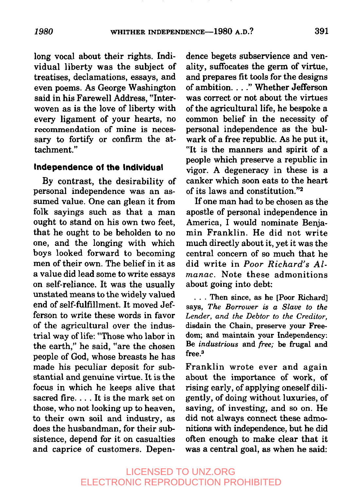long vocal about their rights. Individual liberty was the subject of treatises, declamations, essays, and even poems. As George Washington said in his Farewell Address, "Interwoven as is the love of liberty with every ligament of your hearts, no recommendation of mine is necessary to fortify or confirm the attachment."

#### **independence of the individual**

By contrast, the desirability of persona] independence was an assumed value. One can glean it from folk sayings such as that a man ought to stand on his own two feet, that he ought to be beholden to no one, and the longing with which boys looked forward to becoming men of their own. The belief in it as a value did lead some to write essays on self-reliance. It was the usually unstated means to the widely valued end of self-fulfillment. It moved Jefferson to write these words in favor of the agricultural over the industrial way of life: "Those who labor in the earth," he said, "are the chosen people of God, whose breasts he has made his peculiar deposit for substantial and genuine virtue. It is the focus in which he keeps alive that sacred fire.... It is the mark set on those, who not looking up to heaven, to their own soil and industry, as does the husbandman, for their subsistence, depend for it on casualties and caprice of customers. Dependence begets subservience and venality, suffocates the germ of virtue, and prepares fit tools for the designs of ambition. . . ." Whether Jefferson was correct or not about the virtues of the agricultural life, he bespoke a common belief in the necessity of personal independence as the bulwark of a free republic. As he put it, "It is the manners and spirit of a people which preserve a republic in vigor. A degeneracy in these is a canker which soon eats to the heart of its laws and constitution." $2$ 

If one man had to be chosen as the apostle of personal independence in America, Iwould nominate Benjamin Franklin. He did not write much directly about it, yet it was the central concern of so much that he did write in Poor Richard's Almanac. Note these admonitions about going into debt:

**¯ . .** Then since, as he [Poor Richard] says, *The Borrower is a Slave to the Lender, and the Debtor to the Creditor,* disdain the Chain, preserve your Freedom; and maintain your Independency: Be industrious and free; be frugal and free.<sup>3</sup>

Franklin wrote ever and again about the importance of work, of rising early, of applying oneself diligently, of doing without luxuries, of saving, of investing, and so on. He did not always connect these admonitions with independence, but he did often enough to make clear that it was a central goal, as when he said: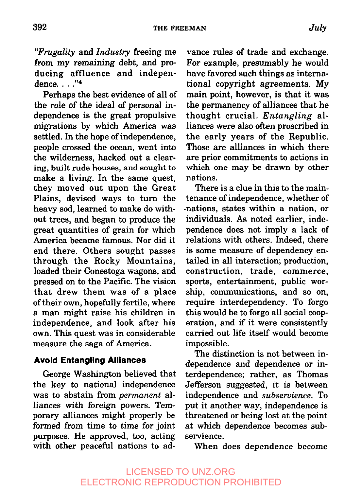*~'Frugality* and *Industry* freeing me from my remaining debt, and producing affluence and independence ....<sup>74</sup>

Perhaps the best evidence of all of the role of the ideal of personal independence is the great propulsive migrations by which America was settled. In the hope of independence, people crossed the ocean, went into the wilderness, hacked out a clearing, built rude houses, and sought to make a living. In the same quest, they moved out upon the Great Plains, devised ways to turn the heavy sod, learned to make do without trees, and began to produce the great quantities of grain for which America became famous. Nor did it end there. Others sought passes through the Rocky Mountains, loaded their Conestoga wagons, and pressed on to the Pacific. The vision that drew them was of a place of their own, hopefully fertile, where a man might raise his children in independence, and look after his own. This quest was in considerable measure the saga of America.

#### **Avoid Entangling Alliances**

George Washington believed that the key to national independence was to abstain from *permanent* alliances with foreign powers. Temporary alliances might properly be formed from time to time for joint purposes. He approved, too, acting with other peaceful nations to ad-

vance rules of trade and exchange. For example, presumably he would have favored such things as international copyright agreements. My main point, however, is that it was the permanency of alliances that he thought crucial. *Entangling* alliances were also often proscribed in the early years of the Republic. Those are alliances in which there are prior commitments to actions in which one may be drawn by other nations.

There is a clue in this to the maintenance of independence, whether of -nations, states within a nation, or individuals. As noted earlier, independence does not imply a lack of relations with others. Indeed, there is some measure of dependency entailed in all interaction; production, construction, trade, commerce, sports, entertainment, public worship, communications, and so on, require interdependency. To forgo this would be to forgo all social cooperation, and if it were consistently carried out life itself would become impossible.

The distinction is not between independence and dependence or interdependence; rather, as Thomas Jefferson suggested, it is between independence and *subservience.* To put it another way, independence is threatened or being lost at the point at which dependence becomes subservience.

When does dependence become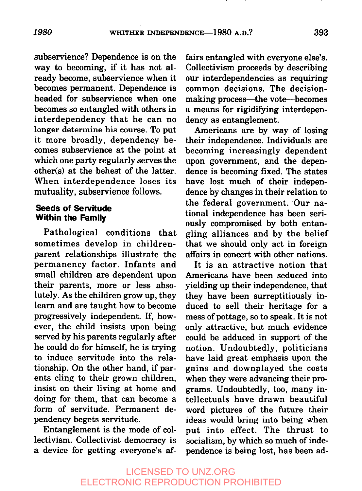subservience? Dependence is on the way to becoming, if it has not already become, subservience when it becomes permanent. Dependence is headed for subservience when one becomes so entangled with others in interdependency that he can no longer determine his course. To put it more broadly, dependency becomes subservience at the point at which one party regularly serves the other(s) at the behest of the latter. When interdependence loses its mutuality, subservience follows.

#### **Seeds of Servitude Within the Family**

Pathological conditions that sometimes develop in childrenparent relationships illustrate the permanency factor. Infants and small children are dependent upon their parents, more or less absolutely. As the children grow up, they learn and are taught how to become progressively independent. If, however, the child insists upon being served by his parents regularly after he could do for himself, he is trying to induce servitude into the relationship. On the other hand, if parents cling to their grown children, insist on their living at home and doing for them, that can become a form of servitude. Permanent dependency begets servitude.

Entanglement is the mode of collectivism. Collectivist democracy is a device for getting everyone's affairs entangled with everyone else's. Collectivism proceeds by describing our interdependencies as requiring common decisions. The decisionmaking process—the vote—becomes a means for rigidifying interdependency as entanglement.

Americans are by way of losing their independence. Individuals are becoming increasingly dependent upon government, and the dependence is becoming fixed. The states have lost much of their independence by changes in their relation to the federal government. Our national independence has been seriously compromised by both entangling alliances and by the belief that we should only act in foreign affairs in concert with other nations.

It is an attractive notion that Americans have been seduced into yielding up their independence, that they have been surreptitiously induced to sell their heritage for a mess of pottage, so to speak. It is not only attractive, but much evidence could be adduced in support of the notion. Undoubtedly, politicians have laid great emphasis upon the gains and downplayed the costs when they were advancing their programs. Undoubtedly, too, many intellectuals have drawn beautiful word pictures of the future their ideas would bring into being when put into effect. The thrust to socialism, by which so much of independence is being lost, has been ad-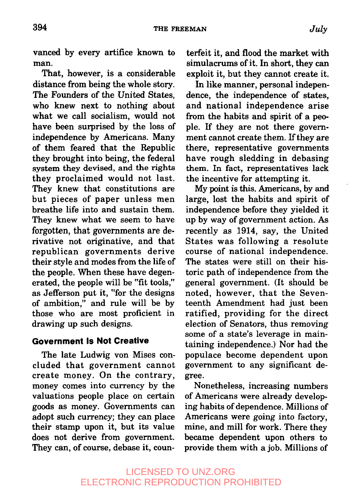vanced by every artifice known to man.

That, however, is a considerable distance from being the whole story. The Founders of the United States, who knew next to nothing about what we call socialism, would not have been surprised by the loss of independence by Americans. Many of them feared that the Republic they brought into being, the federal system they devised, and the rights they proclaimed would not last. They knew that constitutions are but pieces of paper unless men breathe life into and sustain them. They knew what we seem to have forgotten, that governments are derivative not originative, and that republican governments derive their style and modes from the life of the people. When these have degenerated, the people will be "fit tools," as Jefferson put it, "for the designs of ambition," and rule will be by those who are most proficient in drawing up such designs.

### **Government Is Not Creative**

The late Ludwig von Mises concluded that government cannot create money. On the contrary, money comes into currency by the valuations people place on certain goods as money. Governments can adopt such currency; they can place their stamp upon it, but its value does not derive from government. They can, of course, debase it, counterfeit it, and flood the market with simulacrums of it. In short, they can exploit it, but they cannot create it.

In like manner, personal independence, the independence of states, and national independence arise from the habits and spirit of a people. If they are not there government cannot create them. If they are there, representative governments have rough sledding in debasing them. In fact, representatives lack the incentive for attempting it.

My point is this. Americans, by and large, lost the habits and spirit of independence before they yielded it up by way of government action. As recently as 1914, say, the United States was following a resolute course of national independence. The states were still on their historic path of independence from the general government. (It should be noted, however, that the Seventeenth Amendment had just been ratified, providing for the direct election of Senators, thus removing some of a state's leverage in maintaining independence.) Nor had the populace become dependent upon government to any significant degree.

Nonetheless, increasing numbers of Americans were already developing habits of dependence. Millions of Americans were going into factory, mine, and mill for work. There they became dependent upon others to provide them with a job. Millions of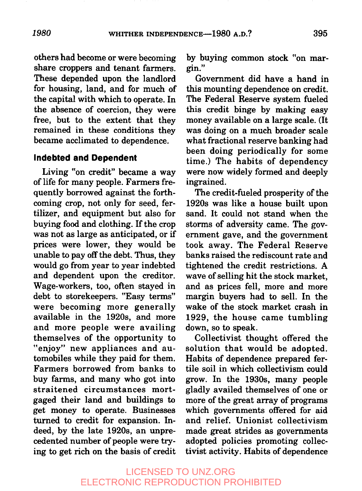others had become or were becoming share croppers and tenant farmers. These depended upon the landlord for housing, land, and for much of the capital with which to operate. In the absence of coercion, they were free, but to the extent that they remained in these conditions they became acclimated to dependence.

#### **Indebted and Dependent**

Living "on credit" became a way of life for many people. Farmers frequently borrowed against the forthcoming crop, not only for seed, fertilizer, and equipment but also for buying food and clothing. If the crop was not as large as anticipated, or if prices were lower, they would be unable to pay off the debt. Thus, they would go from year to year indebted and dependent upon the creditor. Wage-workers, too, often stayed in debt to storekeepers. "Easy terms" were becoming more generally available in the 1920s, and more and more people were availing themselves of the opportunity to "enjoy" new appliances and automobiles while they paid for them. Farmers borrowed from banks to buy farms, and many who got into straitened circumstances mortgaged their land and buildings to get money to operate. Businesses turned to credit for expansion. Indeed, by the late 1920s, an unprecedented number of people were trying to get rich on the basis of credit

by buying common stock "on mar-<br>gin."

Government did have a hand in this mounting dependence on credit. The Federal Reserve system fueled this credit binge by making easy money available on a large scale. (It was doing on a much broader scale what fractional reserve banking had been doing periodically for some time.) The habits of dependency were now widely formed and deeply ingrained.

The credit-fueled prosperity of the 1920s was like a house built upon sand. It could not stand when the storms of adversity came. The government gave, and the government took away. The Federal Reserve banks raised the rediscount rate and tightened the credit restrictions. A wave of selling hit the stock market, and as prices fell, more and more margin buyers had to sell. In the wake of the stock market crash in 1929, the house came tumbling down, so to speak.

Collectivist thought offered the solution that would be adopted. Habits of dependence prepared fertile soil in which collectivism could grow. In the 1930s, many people gladly availed themselves of one or more of the great array of programs which governments offered for aid and relief. Unionist collectivism made great strides as governments adopted policies promoting collectivist activity. Habits of dependence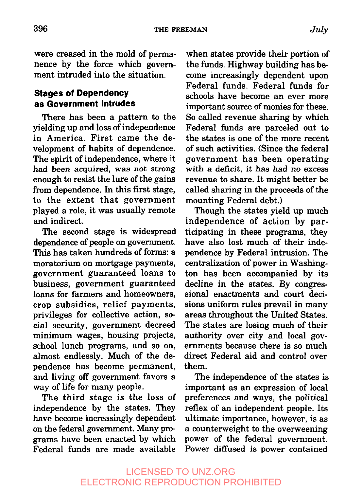were creased in the mold of permanence by the force which government intruded into the situation.

### **Stages of Dependency as Government Intrudes**

There has been a pattern to the yielding up and loss of independence in America. First came the development of habits of dependence. The spirit of independence, where it had been acquired, was not strong enough to resist the lure of the gains from dependence. In this first stage, to the extent that government played a role, it was usually remote and indirect.

The second stage is widespread dependence of people on government. This has taken hundreds of forms: a moratorium on mortgage payments, government guaranteed loans to business, government guaranteed loans for farmers and homeowners, crop subsidies, relief payments, privileges for collective action, social security, government decreed minimum wages, housing projects, school lunch programs, and so on, almost endlessly. Much of the dependence has become permanent, and living off government favors a way of life for many people.

The third stage is the loss of independence by the states. They have become increasingly dependent on the federal government. Many programs have been enacted by which Federal funds are made available

when states provide their portion of the funds. Highway building has become increasingly dependent upon Federal funds. Federal funds for schools have become an ever more important source of monies for these. So called revenue sharing by which Federal funds are parceled out to the states is one of the more recent of such activities. (Since the federal government has been operating with a deficit, it has had no excess revenue to share. It might better be called sharing in the proceeds of the mounting Federal debt.)

Though the states yield up much independence of action by participating in these programs, they have also lost much of their independence by Federal intrusion. The centralization of power in Washington has been accompanied by its decline in the states. By congressional enactments and court decisions uniform rules prevail in many areas throughout the United States. The states are losing much of their authority over city and local governments because there is so much direct Federal aid and control over them.

The independence of the states is important as an expression of local preferences and ways, the political reflex of an independent people. Its ultimate importance, however, is as a counterweight to the overweening power of the federal government. Power diffused is power contained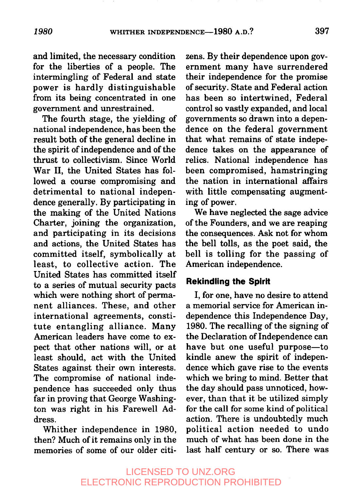and limited, the necessary condition for the liberties of a people. The intermingling of Federal and state power is hardly distinguishable from its being concentrated in one government and unrestrained.

The fourth stage, the yielding of national independence, hasbeen the result both of the general decline in the spirit of independence and of the thrust to collectivism. Since World War II, the United States has followed a course compromising and detrimental to national independence generally. By participating in the making of the United Nations Charter, joining the organization, and participating in its decisions and actions, the United States has committed itself, symbolically at least, to collective action. The United States has committed itself to a series of mutual security pacts which were nothing short of permanent alliances. These, and other international agreements, constitute entangling alliance. Many American leaders have come to expect that other nations will, or at least should, act with the United States against their own interests. The compromise of national independence has succeeded only thus far in proving that George Washington was right in his Farewell Address.

Whither independence in 1980, then? Much of it remains only in the memories of some of our older citizens. By their dependence upon government many have surrendered their independence for the promise of security. State and Federal action has been so intertwined, Federal control so vastly expanded, and local governments so drawn into a dependence on the federal government that what remains of state indepedence takes on the appearance of relics. National independence has been compromised, hamstringing the nation in international affairs with little compensating augmenting of power.

We have neglected the sage advice of the Founders, and we are reaping the consequences. Ask not for whom the bell tolls, as the poet said, the bell is tolling for the passing of American independence.

#### **Rekindling the Spirit**

I, for one, have no desire to attend a memorial service for American independence this Independence Day, 1980. The recalling of the signing of the Declaration of Independence can have but one useful purpose-to kindle anew the spirit of independence which gave rise to the events which we bring to mind. Better that the day should pass unnoticed, however, than that it be utilized simply for the call for some kind of political action. There is undoubtedly much political action needed to undo much of what has been done in the last half century or so. There was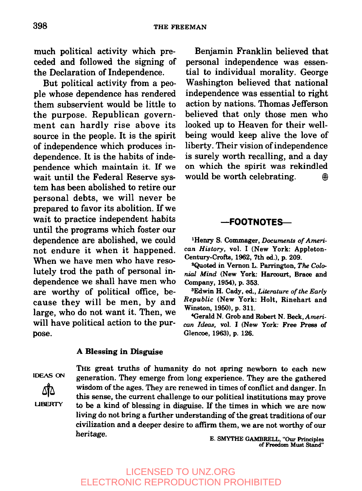much political activity which preceded and followed the signing of the Declaration of Independence.

But political activity from a people whose dependence has rendered them subservient would be little to the purpose. Republican government can hardly rise above its source in the people. It is the spirit of independence which produces independence. It is the habits of independence which maintain it. If we wait until the Federal Reserve system has been abolished to retire our personal debts, we will never be prepared to favor its abolition. If we wait to practice independent habits until the programs which foster our dependence are abolished, we could not endure it when it happened. When we have men who have resolutely trod the path of personal independence we shall have men who are worthy of political office, because they will be men, by and large, who do not want it. Then, we will have political action to the purpose.

#### A Blessing in Disguise

**IDEAS ON**

**LIBERTY** 

THE great truths of humanity do not spring newborn to each new generation. They emerge from long experience. They are the gathered wisdom of the ages. They are renewed in times of conflict and danger. In this sense, the current challenge to our political institutions may prove to be a kind of blessing in disguise. If the times in which we are now living do not bring a further understanding of the great traditions of our civilization and a deeper desire to affirm them, we are not worthy of our heritage.

E. SMYTHE GAMBRELL, "Our Principles of Freedom Must Stand"

## LICENSED TO UNZ.ORG ELECTRONIC REPRODUCTION PROHIBITED

Benjamin Franklin believed that personal independence was essential to individual morality. George Washington believed that national independence was essential to right action by nations. Thomas Jefferson believed that only those men who looked up to Heaven for their wellbeing would keep alive the love of liberty. Their vision of independence is surely worth recalling, and a day on which the spirit was rekindled would be worth celebrating.  $\qquad \qquad \circledR$ 

#### **~FOOTNOTES~**

IHenry S. Commager, *Documents of American History,* vol. I (New York: Appleton-Century-Crofts, 1962, 7th ed.), p. 209.

aQuoted in Vernon L. Parrington, *The Colonio2 Mind* (New York: Harcourt, Brace and Company, 1954), p. 353.

**aEdwin** H. Cady, ed., *Literature of the Early Republic* (New York: Holt, Rinehart **and** Winston, 1950), p. 311.

<sup>4</sup>Gerald N. Grob and Robert N. Beck, American Ideas, vol. I (New York: Free Press of Glencoe, 1963), p. 126.